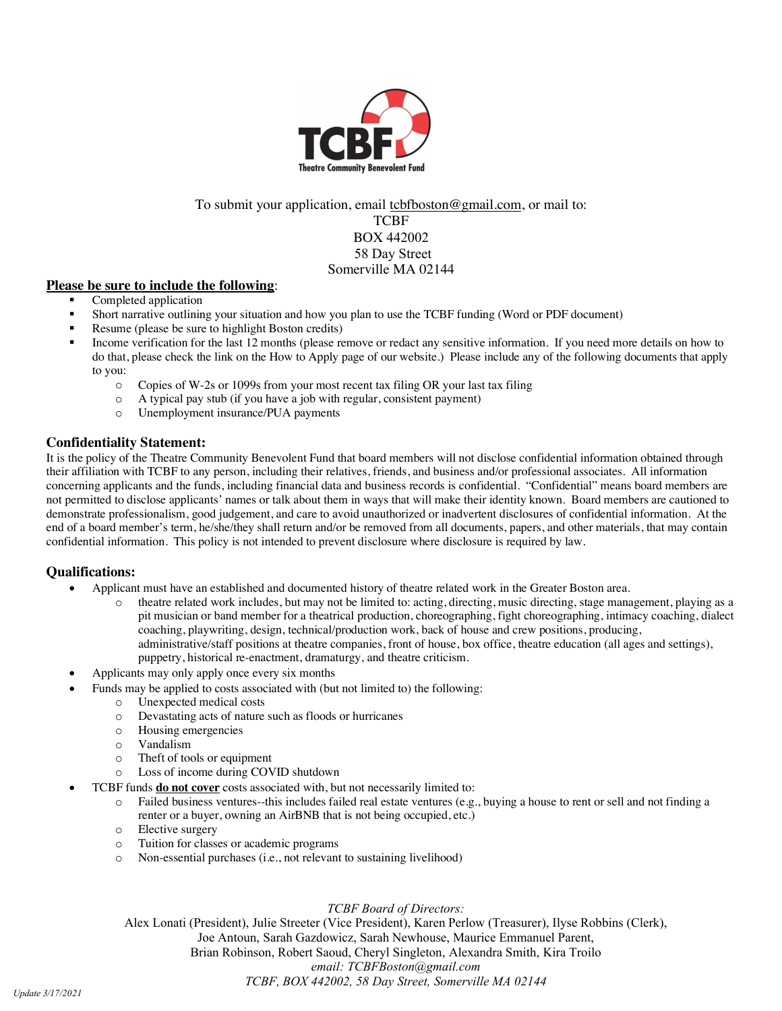

To submit your application, email tcbfboston@gmail.com, or mail to: TCBF BOX 442002 58 Day Street Somerville MA 02144

### **Please be sure to include the following**:

- Completed application
- § Short narrative outlining your situation and how you plan to use the TCBF funding (Word or PDF document)
- § Resume (please be sure to highlight Boston credits)
- Income verification for the last 12 months (please remove or redact any sensitive information. If you need more details on how to do that, please check the link on the How to Apply page of our website.) Please include any of the following documents that apply to you:
	- o Copies of W-2s or 1099s from your most recent tax filing OR your last tax filing
	- o A typical pay stub (if you have a job with regular, consistent payment)
	- o Unemployment insurance/PUA payments

#### **Confidentiality Statement:**

It is the policy of the Theatre Community Benevolent Fund that board members will not disclose confidential information obtained through their affiliation with TCBF to any person, including their relatives, friends, and business and/or professional associates. All information concerning applicants and the funds, including financial data and business records is confidential. "Confidential" means board members are not permitted to disclose applicants' names or talk about them in ways that will make their identity known. Board members are cautioned to demonstrate professionalism, good judgement, and care to avoid unauthorized or inadvertent disclosures of confidential information. At the end of a board member's term, he/she/they shall return and/or be removed from all documents, papers, and other materials, that may contain confidential information. This policy is not intended to prevent disclosure where disclosure is required by law.

### **Qualifications:**

- Applicant must have an established and documented history of theatre related work in the Greater Boston area.
	- theatre related work includes, but may not be limited to: acting, directing, music directing, stage management, playing as a pit musician or band member for a theatrical production, choreographing, fight choreographing, intimacy coaching, dialect coaching, playwriting, design, technical/production work, back of house and crew positions, producing, administrative/staff positions at theatre companies, front of house, box office, theatre education (all ages and settings), puppetry, historical re-enactment, dramaturgy, and theatre criticism.
	- Applicants may only apply once every six months
- Funds may be applied to costs associated with (but not limited to) the following:
	- o Unexpected medical costs
	- o Devastating acts of nature such as floods or hurricanes
	- o Housing emergencies
	- o Vandalism
	- o Theft of tools or equipment
	- o Loss of income during COVID shutdown
- TCBF funds **do not cover** costs associated with, but not necessarily limited to:
	- o Failed business ventures--this includes failed real estate ventures (e.g., buying a house to rent or sell and not finding a renter or a buyer, owning an AirBNB that is not being occupied, etc.)
	- o Elective surgery
	- o Tuition for classes or academic programs
	- o Non-essential purchases (i.e., not relevant to sustaining livelihood)

*TCBF Board of Directors:* 

Alex Lonati (President), Julie Streeter (Vice President), Karen Perlow (Treasurer), Ilyse Robbins (Clerk), Joe Antoun, Sarah Gazdowicz, Sarah Newhouse, Maurice Emmanuel Parent, Brian Robinson, Robert Saoud, Cheryl Singleton, Alexandra Smith, Kira Troilo *email: TCBFBoston@gmail.com TCBF, BOX 442002, 58 Day Street, Somerville MA 02144*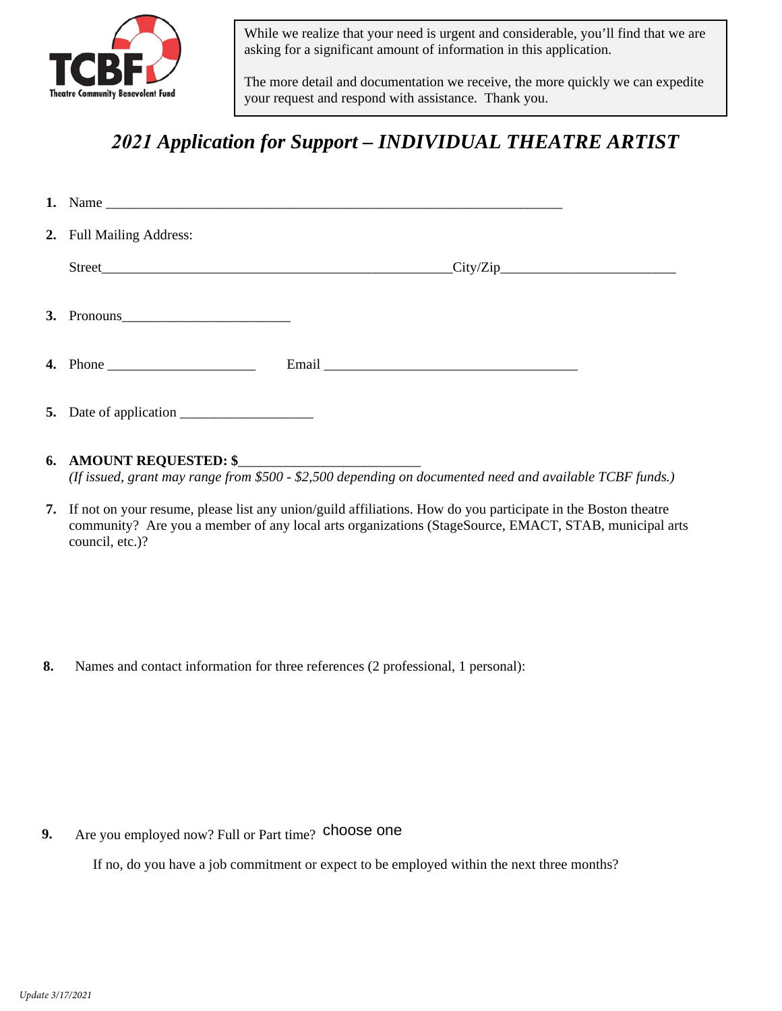

While we realize that your need is urgent and considerable, you'll find that we are asking for a significant amount of information in this application.

The more detail and documentation we receive, the more quickly we can expedite your request and respond with assistance. Thank you.

# *2021 Application for Support – INDIVIDUAL THEATRE ARTIST*

| 2. Full Mailing Address: |  |  |  |  |
|--------------------------|--|--|--|--|
|                          |  |  |  |  |
| 3. Pronouns              |  |  |  |  |
|                          |  |  |  |  |
|                          |  |  |  |  |

## **6. AMOUNT REQUESTED: \$**\_\_\_\_\_\_\_\_\_\_\_\_\_\_\_\_\_\_\_\_\_\_\_\_\_\_

*(If issued, grant may range from \$500 - \$2,500 depending on documented need and available TCBF funds.)*

**7.** If not on your resume, please list any union/guild affiliations. How do you participate in the Boston theatre community? Are you a member of any local arts organizations (StageSource, EMACT, STAB, municipal arts council, etc.)?

**8.** Names and contact information for three references (2 professional, 1 personal):

**9.** 9. Are you employed now? Full or Part time? **choose one**<br> *If no, do you have a job commitment or expect to be er*<br> *Update 3/17/2021* 

If no, do you have a job commitment or expect to be employed within the next three months?